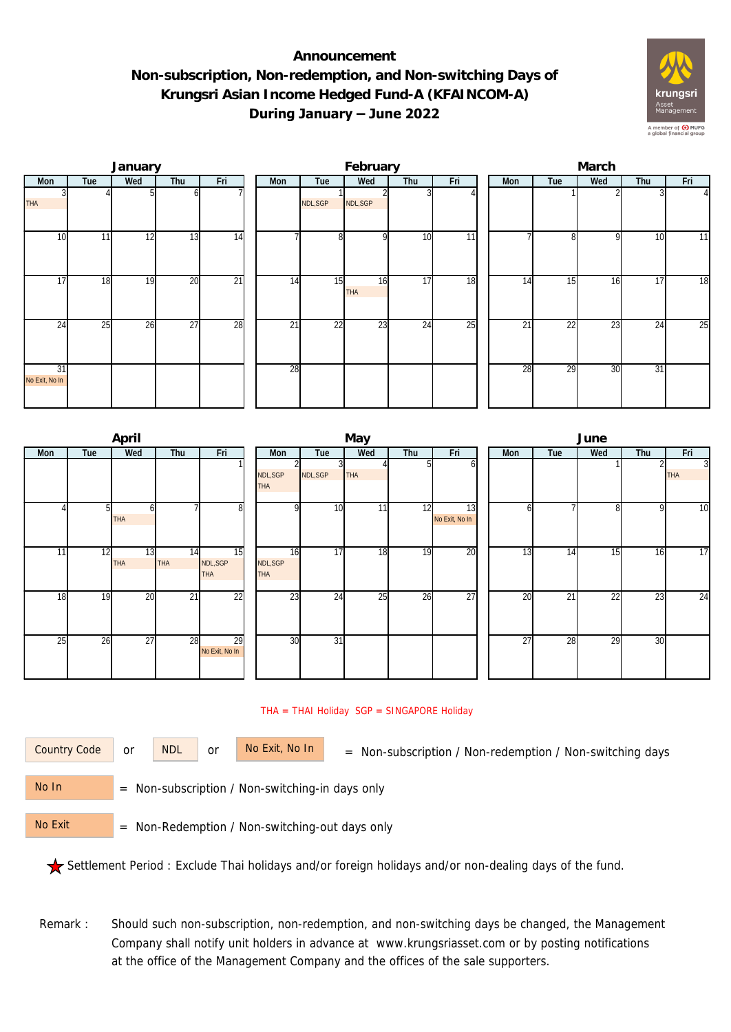## **Announcement Non-subscription, Non-redemption, and Non-switching Days of Krungsri Asian Income Hedged Fund-A (KFAINCOM-A) During January – June 2022**



|                      |     | January |                 |                 | February |         |                  |                 |     |  | March |                 |              |     |          |  |  |
|----------------------|-----|---------|-----------------|-----------------|----------|---------|------------------|-----------------|-----|--|-------|-----------------|--------------|-----|----------|--|--|
| Mon                  | Tue | Wed     | Thu             | Fri             | Mon      | Tue     | Wed              | Thu             | Fri |  | Mon   | Tue             | Wed          | Thu | Fri      |  |  |
| <b>THA</b>           |     |         |                 |                 |          | NDL,SGP | NDL, SGP         |                 |     |  |       |                 |              |     | $\Delta$ |  |  |
| 10                   | 11  | 12      | 13              | 14              |          | 8       | Q                | 10              | 11  |  |       | 8               | $\mathsf{Q}$ | 10  | 11       |  |  |
| $1\overline{7}$      | 18  | 19      | 20              | $\overline{21}$ | 14       | 15      | 16<br><b>THA</b> | 17              | 18  |  | 14    | 15              | 16           | 17  | 18       |  |  |
| 24                   | 25  | 26      | $\overline{27}$ | 28              | 21       | 22      | 23               | $2\overline{4}$ | 25  |  | 21    | $\overline{22}$ | 23           | 24  | 25       |  |  |
| 31<br>No Exit, No In |     |         |                 |                 | 28       |         |                  |                 |     |  | 28    | 29              | 30           | 31  |          |  |  |

|     |     | April            |                  |                              | May                         |                 |            |     |                      |  |                 | June            |                 |     |                            |  |  |  |
|-----|-----|------------------|------------------|------------------------------|-----------------------------|-----------------|------------|-----|----------------------|--|-----------------|-----------------|-----------------|-----|----------------------------|--|--|--|
| Mon | Tue | Wed              | Thu              | Fri                          | Mon                         | Tue             | Wed        | Thu | Fri                  |  | Mon             | Tue             | Wed             | Thu | Fri                        |  |  |  |
|     |     |                  |                  |                              | NDL, SGP<br><b>THA</b>      | NDL, SGP        | <b>THA</b> |     | h                    |  |                 |                 |                 |     | $\mathbf{3}$<br><b>THA</b> |  |  |  |
|     | 51  | THA              |                  | 8 <sup>1</sup>               | $\Omega$                    | 10              | 11         | 12  | 13<br>No Exit, No In |  | n               |                 | 8               | 9   | 10                         |  |  |  |
| 11  | 12  | 13<br><b>THA</b> | 14<br><b>THA</b> | 15<br>NDL, SGP<br><b>THA</b> | 16<br>NDL,SGP<br><b>THA</b> | 17              | 18         | 19  | 20                   |  | 13              | 14              | 15              | 16  | 17                         |  |  |  |
| 18  | 19  | 20               | $\overline{21}$  | $\overline{22}$              | 23                          | 24              | 25         | 26  | 27                   |  | $\overline{20}$ | $\overline{21}$ | $\overline{22}$ | 23  | 24                         |  |  |  |
| 25  | 26  | 27               | $\overline{28}$  | 29<br>No Exit, No In         | 30                          | $\overline{31}$ |            |     |                      |  | $\overline{27}$ | 28              | 29              | 30  |                            |  |  |  |

## THA = THAI Holiday SGP = SINGAPORE Holiday

or NDL or

Country Code or NDL or No Exit, No In = Non-subscription / Non-redemption / Non-switching days

 = Non-subscription / Non-switching-in days only No In

 = Non-Redemption / Non-switching-out days only No Exit

Settlement Period : Exclude Thai holidays and/or foreign holidays and/or non-dealing days of the fund.

Remark : Should such non-subscription, non-redemption, and non-switching days be changed, the Management Company shall notify unit holders in advance at www.krungsriasset.com or by posting notifications at the office of the Management Company and the offices of the sale supporters.